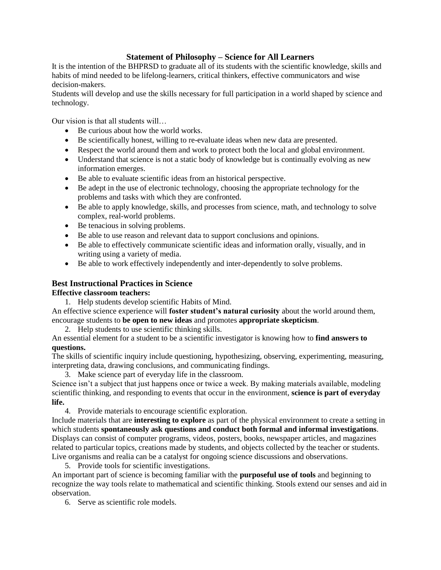## **Statement of Philosophy – Science for All Learners**

It is the intention of the BHPRSD to graduate all of its students with the scientific knowledge, skills and habits of mind needed to be lifelong-learners, critical thinkers, effective communicators and wise decision-makers.

Students will develop and use the skills necessary for full participation in a world shaped by science and technology.

Our vision is that all students will…

- Be curious about how the world works.
- Be scientifically honest, willing to re-evaluate ideas when new data are presented.
- Respect the world around them and work to protect both the local and global environment.
- Understand that science is not a static body of knowledge but is continually evolving as new information emerges.
- Be able to evaluate scientific ideas from an historical perspective.
- Be adept in the use of electronic technology, choosing the appropriate technology for the problems and tasks with which they are confronted.
- Be able to apply knowledge, skills, and processes from science, math, and technology to solve complex, real-world problems.
- Be tenacious in solving problems.
- Be able to use reason and relevant data to support conclusions and opinions.
- Be able to effectively communicate scientific ideas and information orally, visually, and in writing using a variety of media.
- Be able to work effectively independently and inter-dependently to solve problems.

## **Best Instructional Practices in Science**

## **Effective classroom teachers:**

1. Help students develop scientific Habits of Mind.

An effective science experience will **foster student's natural curiosity** about the world around them, encourage students to **be open to new ideas** and promotes **appropriate skepticism**.

2. Help students to use scientific thinking skills.

## An essential element for a student to be a scientific investigator is knowing how to **find answers to questions.**

The skills of scientific inquiry include questioning, hypothesizing, observing, experimenting, measuring, interpreting data, drawing conclusions, and communicating findings.

3. Make science part of everyday life in the classroom.

Science isn't a subject that just happens once or twice a week. By making materials available, modeling scientific thinking, and responding to events that occur in the environment, **science is part of everyday life.**

4. Provide materials to encourage scientific exploration.

Include materials that are **interesting to explore** as part of the physical environment to create a setting in which students **spontaneously ask questions and conduct both formal and informal investigations**. Displays can consist of computer programs, videos, posters, books, newspaper articles, and magazines related to particular topics, creations made by students, and objects collected by the teacher or students. Live organisms and realia can be a catalyst for ongoing science discussions and observations.

5. Provide tools for scientific investigations.

An important part of science is becoming familiar with the **purposeful use of tools** and beginning to recognize the way tools relate to mathematical and scientific thinking. Stools extend our senses and aid in observation.

6. Serve as scientific role models.